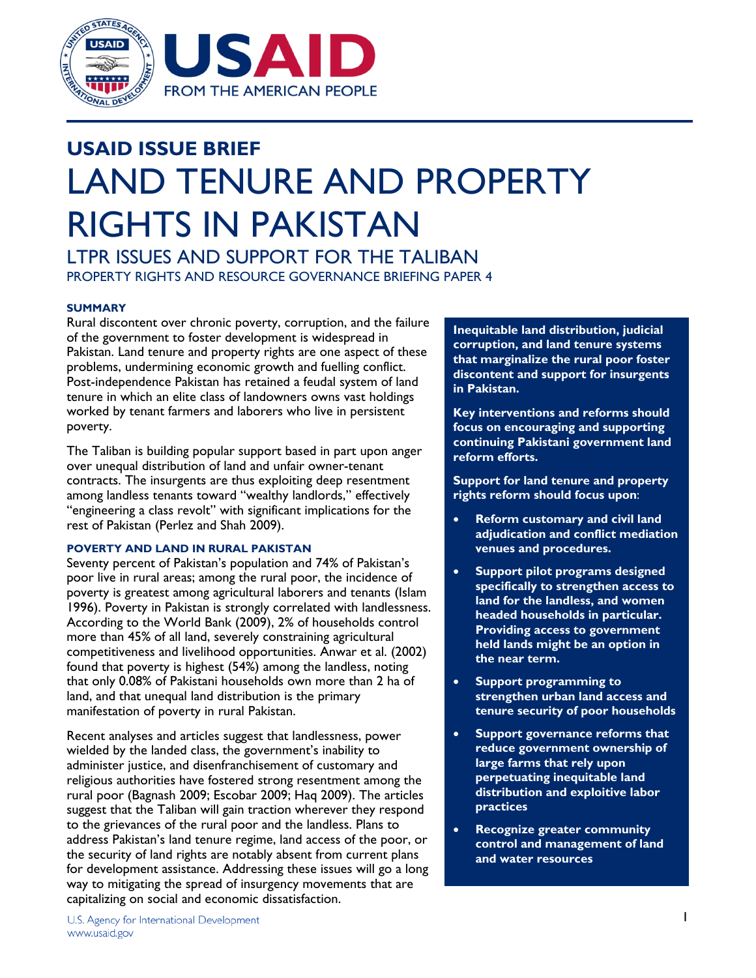

# **USAID ISSUE BRIEF**  LAND TENURE AND PROPERTY RIGHTS IN PAKISTAN

LTPR ISSUES AND SUPPORT FOR THE TALIBAN PROPERTY RIGHTS AND RESOURCE GOVERNANCE BRIEFING PAPER 4

## **SUMMARY**

Rural discontent over chronic poverty, corruption, and the failure of the government to foster development is widespread in Pakistan. Land tenure and property rights are one aspect of these problems, undermining economic growth and fuelling conflict. Post-independence Pakistan has retained a feudal system of land tenure in which an elite class of landowners owns vast holdings worked by tenant farmers and laborers who live in persistent poverty.

The Taliban is building popular support based in part upon anger over unequal distribution of land and unfair owner-tenant contracts. The insurgents are thus exploiting deep resentment among landless tenants toward "wealthy landlords," effectively "engineering a class revolt" with significant implications for the rest of Pakistan (Perlez and Shah 2009).

## **POVERTY AND LAND IN RURAL PAKISTAN**

Seventy percent of Pakistan's population and 74% of Pakistan's poor live in rural areas; among the rural poor, the incidence of poverty is greatest among agricultural laborers and tenants (Islam 1996). Poverty in Pakistan is strongly correlated with landlessness. According to the World Bank (2009), 2% of households control more than 45% of all land, severely constraining agricultural competitiveness and livelihood opportunities. Anwar et al. (2002) found that poverty is highest (54%) among the landless, noting that only 0.08% of Pakistani households own more than 2 ha of land, and that unequal land distribution is the primary manifestation of poverty in rural Pakistan.

Recent analyses and articles suggest that landlessness, power wielded by the landed class, the government's inability to administer justice, and disenfranchisement of customary and religious authorities have fostered strong resentment among the rural poor (Bagnash 2009; Escobar 2009; Haq 2009). The articles suggest that the Taliban will gain traction wherever they respond to the grievances of the rural poor and the landless. Plans to address Pakistan's land tenure regime, land access of the poor, or the security of land rights are notably absent from current plans for development assistance. Addressing these issues will go a long way to mitigating the spread of insurgency movements that are capitalizing on social and economic dissatisfaction.

**Inequitable land distribution, judicial corruption, and land tenure systems that marginalize the rural poor foster discontent and support for insurgents in Pakistan.** 

**Key interventions and reforms should focus on encouraging and supporting continuing Pakistani government land reform efforts.** 

**Support for land tenure and property rights reform should focus upon**:

- **Reform customary and civil land adjudication and conflict mediation venues and procedures.**
- **Support pilot programs designed specifically to strengthen access to land for the landless, and women headed households in particular. Providing access to government held lands might be an option in the near term.**
- **Support programming to strengthen urban land access and tenure security of poor households**
- **Support governance reforms that reduce government ownership of large farms that rely upon perpetuating inequitable land distribution and exploitive labor practices**
- **Recognize greater community control and management of land and water resources**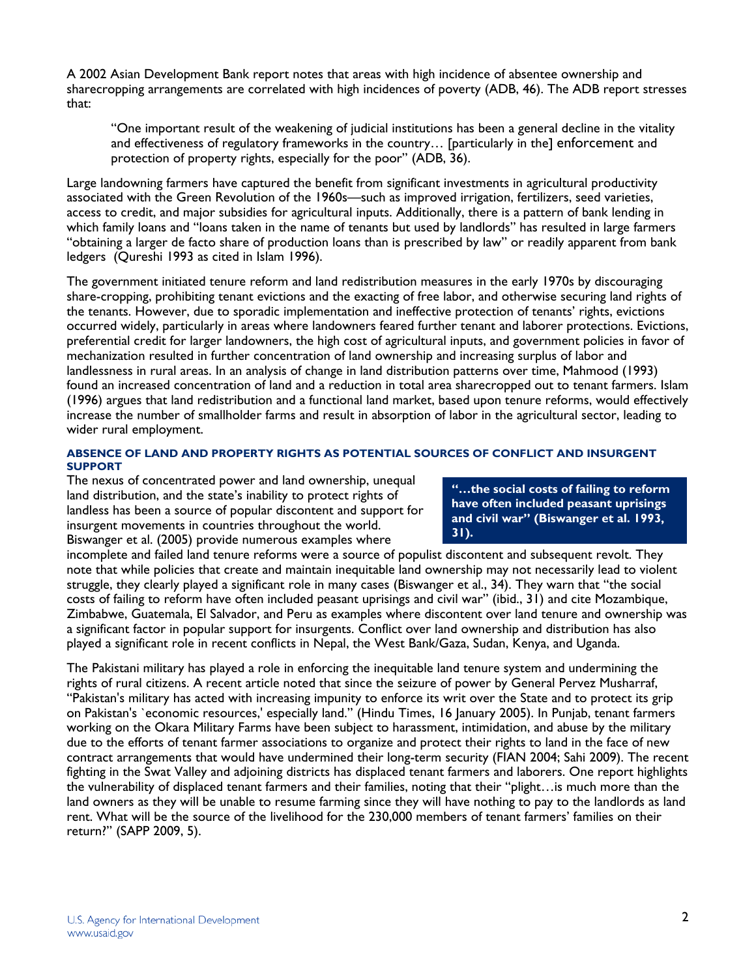A 2002 Asian Development Bank report notes that areas with high incidence of absentee ownership and sharecropping arrangements are correlated with high incidences of poverty (ADB, 46). The ADB report stresses that:

"One important result of the weakening of judicial institutions has been a general decline in the vitality and effectiveness of regulatory frameworks in the country… [particularly in the] enforcement and protection of property rights, especially for the poor" (ADB, 36).

Large landowning farmers have captured the benefit from significant investments in agricultural productivity associated with the Green Revolution of the 1960s—such as improved irrigation, fertilizers, seed varieties, access to credit, and major subsidies for agricultural inputs. Additionally, there is a pattern of bank lending in which family loans and "loans taken in the name of tenants but used by landlords" has resulted in large farmers "obtaining a larger de facto share of production loans than is prescribed by law" or readily apparent from bank ledgers (Qureshi 1993 as cited in Islam 1996).

The government initiated tenure reform and land redistribution measures in the early 1970s by discouraging share-cropping, prohibiting tenant evictions and the exacting of free labor, and otherwise securing land rights of the tenants. However, due to sporadic implementation and ineffective protection of tenants' rights, evictions occurred widely, particularly in areas where landowners feared further tenant and laborer protections. Evictions, preferential credit for larger landowners, the high cost of agricultural inputs, and government policies in favor of mechanization resulted in further concentration of land ownership and increasing surplus of labor and landlessness in rural areas. In an analysis of change in land distribution patterns over time, Mahmood (1993) found an increased concentration of land and a reduction in total area sharecropped out to tenant farmers. Islam (1996) argues that land redistribution and a functional land market, based upon tenure reforms, would effectively increase the number of smallholder farms and result in absorption of labor in the agricultural sector, leading to wider rural employment.

## **ABSENCE OF LAND AND PROPERTY RIGHTS AS POTENTIAL SOURCES OF CONFLICT AND INSURGENT SUPPORT**

The nexus of concentrated power and land ownership, unequal land distribution, and the state's inability to protect rights of landless has been a source of popular discontent and support for insurgent movements in countries throughout the world. Biswanger et al. (2005) provide numerous examples where

**"…the social costs of failing to reform have often included peasant uprisings and civil war" (Biswanger et al. 1993, 31).**

incomplete and failed land tenure reforms were a source of populist discontent and subsequent revolt. They note that while policies that create and maintain inequitable land ownership may not necessarily lead to violent struggle, they clearly played a significant role in many cases (Biswanger et al., 34). They warn that "the social costs of failing to reform have often included peasant uprisings and civil war" (ibid., 31) and cite Mozambique, Zimbabwe, Guatemala, El Salvador, and Peru as examples where discontent over land tenure and ownership was a significant factor in popular support for insurgents. Conflict over land ownership and distribution has also played a significant role in recent conflicts in Nepal, the West Bank/Gaza, Sudan, Kenya, and Uganda.

The Pakistani military has played a role in enforcing the inequitable land tenure system and undermining the rights of rural citizens. A recent article noted that since the seizure of power by General Pervez Musharraf, "Pakistan's military has acted with increasing impunity to enforce its writ over the State and to protect its grip on Pakistan's `economic resources,' especially land." (Hindu Times, 16 January 2005). In Punjab, tenant farmers working on the Okara Military Farms have been subject to harassment, intimidation, and abuse by the military due to the efforts of tenant farmer associations to organize and protect their rights to land in the face of new contract arrangements that would have undermined their long-term security (FIAN 2004; Sahi 2009). The recent fighting in the Swat Valley and adjoining districts has displaced tenant farmers and laborers. One report highlights the vulnerability of displaced tenant farmers and their families, noting that their "plight…is much more than the land owners as they will be unable to resume farming since they will have nothing to pay to the landlords as land rent. What will be the source of the livelihood for the 230,000 members of tenant farmers' families on their return?" (SAPP 2009, 5).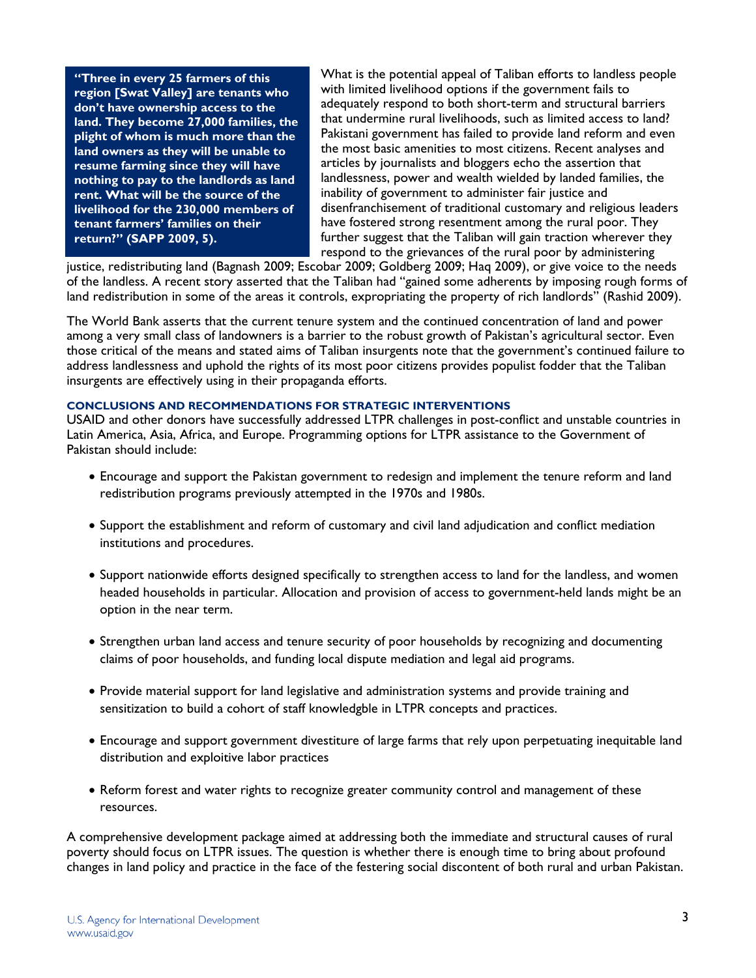**"Three in every 25 farmers of this region [Swat Valley] are tenants who don't have ownership access to the land. They become 27,000 families, the plight of whom is much more than the land owners as they will be unable to resume farming since they will have nothing to pay to the landlords as land rent. What will be the source of the livelihood for the 230,000 members of tenant farmers' families on their return?" (SAPP 2009, 5).** 

What is the potential appeal of Taliban efforts to landless people with limited livelihood options if the government fails to adequately respond to both short-term and structural barriers that undermine rural livelihoods, such as limited access to land? Pakistani government has failed to provide land reform and even the most basic amenities to most citizens. Recent analyses and articles by journalists and bloggers echo the assertion that landlessness, power and wealth wielded by landed families, the inability of government to administer fair justice and disenfranchisement of traditional customary and religious leaders have fostered strong resentment among the rural poor. They further suggest that the Taliban will gain traction wherever they respond to the grievances of the rural poor by administering

justice, redistributing land (Bagnash 2009; Escobar 2009; Goldberg 2009; Haq 2009), or give voice to the needs of the landless. A recent story asserted that the Taliban had "gained some adherents by imposing rough forms of land redistribution in some of the areas it controls, expropriating the property of rich landlords" (Rashid 2009).

The World Bank asserts that the current tenure system and the continued concentration of land and power among a very small class of landowners is a barrier to the robust growth of Pakistan's agricultural sector. Even those critical of the means and stated aims of Taliban insurgents note that the government's continued failure to address landlessness and uphold the rights of its most poor citizens provides populist fodder that the Taliban insurgents are effectively using in their propaganda efforts.

#### **CONCLUSIONS AND RECOMMENDATIONS FOR STRATEGIC INTERVENTIONS**

USAID and other donors have successfully addressed LTPR challenges in post-conflict and unstable countries in Latin America, Asia, Africa, and Europe. Programming options for LTPR assistance to the Government of Pakistan should include:

- Encourage and support the Pakistan government to redesign and implement the tenure reform and land redistribution programs previously attempted in the 1970s and 1980s.
- Support the establishment and reform of customary and civil land adjudication and conflict mediation institutions and procedures.
- Support nationwide efforts designed specifically to strengthen access to land for the landless, and women headed households in particular. Allocation and provision of access to government-held lands might be an option in the near term.
- Strengthen urban land access and tenure security of poor households by recognizing and documenting claims of poor households, and funding local dispute mediation and legal aid programs.
- Provide material support for land legislative and administration systems and provide training and sensitization to build a cohort of staff knowledgble in LTPR concepts and practices.
- Encourage and support government divestiture of large farms that rely upon perpetuating inequitable land distribution and exploitive labor practices
- Reform forest and water rights to recognize greater community control and management of these resources.

A comprehensive development package aimed at addressing both the immediate and structural causes of rural poverty should focus on LTPR issues. The question is whether there is enough time to bring about profound changes in land policy and practice in the face of the festering social discontent of both rural and urban Pakistan.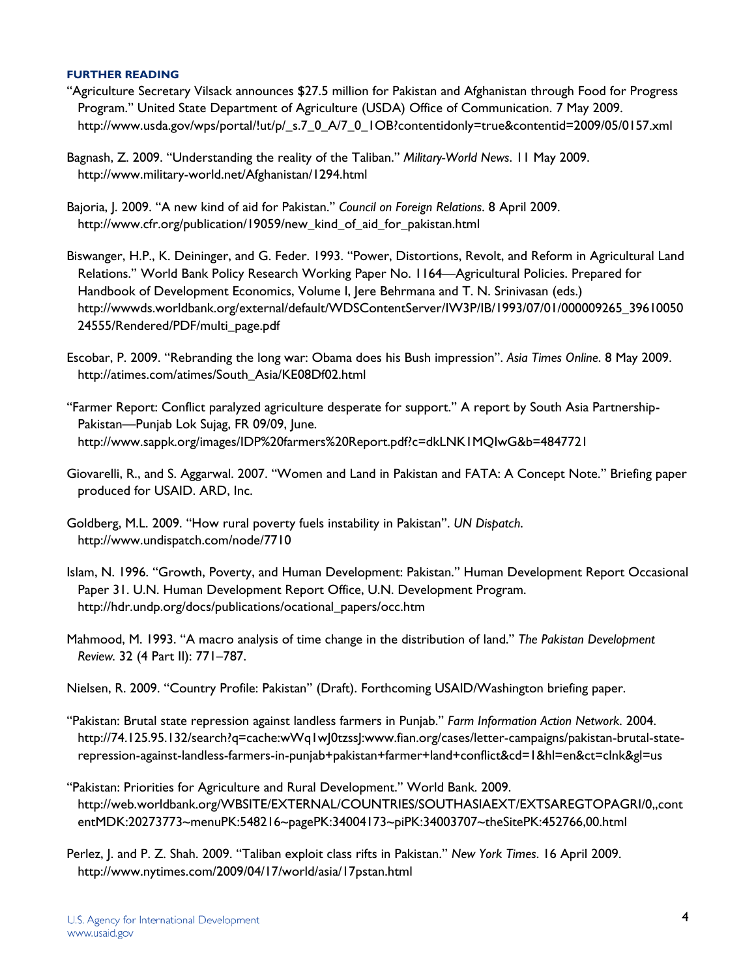#### **FURTHER READING**

- "Agriculture Secretary Vilsack announces \$27.5 million for Pakistan and Afghanistan through Food for Progress Program." United State Department of Agriculture (USDA) Office of Communication. 7 May 2009. http://www.usda.gov/wps/portal/!ut/p/\_s.7\_0\_A/7\_0\_1OB?contentidonly=true&contentid=2009/05/0157.xml
- Bagnash, Z. 2009. "Understanding the reality of the Taliban." *Military-World News*. 11 May 2009. http://www.military-world.net/Afghanistan/1294.html
- Bajoria, J. 2009. "A new kind of aid for Pakistan." *Council on Foreign Relations*. 8 April 2009. http://www.cfr.org/publication/19059/new\_kind\_of\_aid\_for\_pakistan.html
- Biswanger, H.P., K. Deininger, and G. Feder. 1993. "Power, Distortions, Revolt, and Reform in Agricultural Land Relations." World Bank Policy Research Working Paper No. 1164—Agricultural Policies. Prepared for Handbook of Development Economics, Volume I, Jere Behrmana and T. N. Srinivasan (eds.) http://wwwds.worldbank.org/external/default/WDSContentServer/IW3P/IB/1993/07/01/000009265\_39610050 24555/Rendered/PDF/multi\_page.pdf
- Escobar, P. 2009. "Rebranding the long war: Obama does his Bush impression". *Asia Times Online*. 8 May 2009. http://atimes.com/atimes/South\_Asia/KE08Df02.html
- "Farmer Report: Conflict paralyzed agriculture desperate for support." A report by South Asia Partnership-Pakistan—Punjab Lok Sujag, FR 09/09, June. http://www.sappk.org/images/IDP%20farmers%20Report.pdf?c=dkLNK1MQIwG&b=4847721
- Giovarelli, R., and S. Aggarwal. 2007. "Women and Land in Pakistan and FATA: A Concept Note." Briefing paper produced for USAID. ARD, Inc.
- Goldberg, M.L. 2009. "How rural poverty fuels instability in Pakistan". *UN Dispatch*. http://www.undispatch.com/node/7710
- Islam, N. 1996. "Growth, Poverty, and Human Development: Pakistan." Human Development Report Occasional Paper 31. U.N. Human Development Report Office, U.N. Development Program. http://hdr.undp.org/docs/publications/ocational\_papers/occ.htm
- Mahmood, M. 1993. "A macro analysis of time change in the distribution of land." *The Pakistan Development Review.* 32 (4 Part II): 771–787.
- Nielsen, R. 2009. "Country Profile: Pakistan" (Draft). Forthcoming USAID/Washington briefing paper.
- "Pakistan: Brutal state repression against landless farmers in Punjab." *Farm Information Action Network*. 2004. http://74.125.95.132/search?q=cache:wWq1wJ0tzssJ:www.fian.org/cases/letter-campaigns/pakistan-brutal-staterepression-against-landless-farmers-in-punjab+pakistan+farmer+land+conflict&cd=1&hl=en&ct=clnk&gl=us
- "Pakistan: Priorities for Agriculture and Rural Development." World Bank. 2009. http://web.worldbank.org/WBSITE/EXTERNAL/COUNTRIES/SOUTHASIAEXT/EXTSAREGTOPAGRI/0,,cont entMDK:20273773~menuPK:548216~pagePK:34004173~piPK:34003707~theSitePK:452766,00.html
- Perlez, J. and P. Z. Shah. 2009. "Taliban exploit class rifts in Pakistan." *New York Times*. 16 April 2009. http://www.nytimes.com/2009/04/17/world/asia/17pstan.html